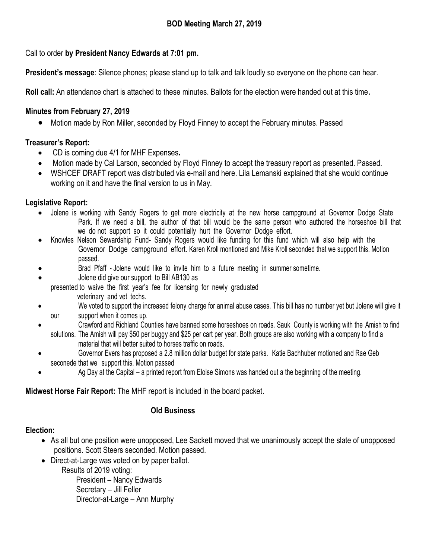Call to order **by President Nancy Edwards at 7:01 pm.**

**President's message**: Silence phones; please stand up to talk and talk loudly so everyone on the phone can hear.

**Roll call:** An attendance chart is attached to these minutes. Ballots for the election were handed out at this time**.** 

# **Minutes from February 27, 2019**

Motion made by Ron Miller, seconded by Floyd Finney to accept the February minutes. Passed

# **Treasurer's Report:**

- CD is coming due 4/1 for MHF Expenses**.**
- Motion made by Cal Larson, seconded by Floyd Finney to accept the treasury report as presented. Passed.
- WSHCEF DRAFT report was distributed via e-mail and here. Lila Lemanski explained that she would continue working on it and have the final version to us in May.

# **Legislative Report:**

- Jolene is working with Sandy Rogers to get more electricity at the new horse campground at Governor Dodge State Park. If we need a bill, the author of that bill would be the same person who authored the horseshoe bill that we do not support so it could potentially hurt the Governor Dodge effort.
- Knowles Nelson Sewardship Fund- Sandy Rogers would like funding for this fund which will also help with the Governor Dodge campground effort. Karen Kroll montioned and Mike Kroll seconded that we support this. Motion passed.
- Brad Pfaff Jolene would like to invite him to a future meeting in summer sometime.
- Jolene did give our support to Bill AB130 as

presented to waive the first year's fee for licensing for newly graduated veterinary and vet techs.

- We voted to support the increased felony charge for animal abuse cases. This bill has no number yet but Jolene will give it our support when it comes up.
- Crawford and Richland Counties have banned some horseshoes on roads. Sauk County is working with the Amish to find
	- solutions. The Amish will pay \$50 per buggy and \$25 per cart per year. Both groups are also working with a company to find a material that will better suited to horses traffic on roads.
- Governor Evers has proposed a 2.8 million dollar budget for state parks. Katie Bachhuber motioned and Rae Geb seconede that we support this. Motion passed
- Ag Day at the Capital a printed report from Eloise Simons was handed out a the beginning of the meeting.

## **Midwest Horse Fair Report:** The MHF report is included in the board packet.

## **Old Business**

## **Election:**

- As all but one position were unopposed, Lee Sackett moved that we unanimously accept the slate of unopposed positions. Scott Steers seconded. Motion passed.
- Direct-at-Large was voted on by paper ballot.

Results of 2019 voting:

President – Nancy Edwards Secretary – Jill Feller Director-at-Large – Ann Murphy